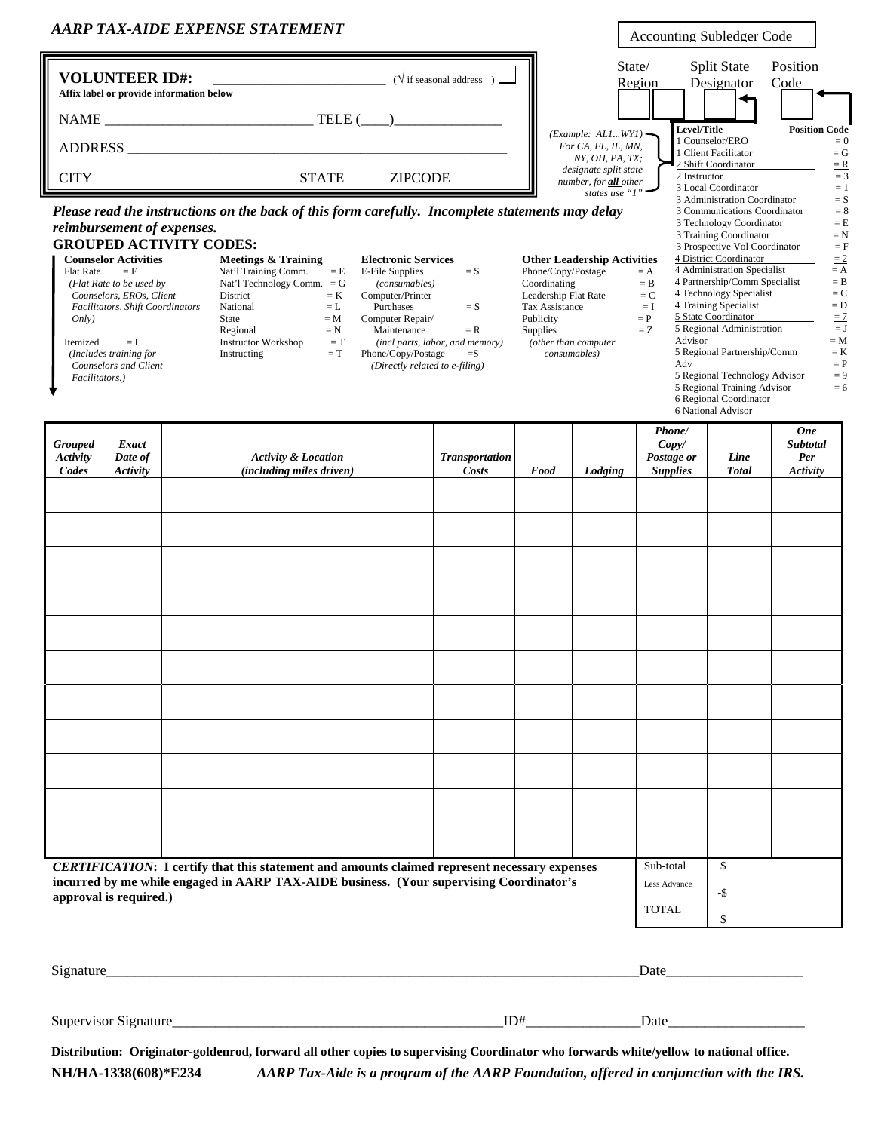|                                                  |                                                                                                                                                                                                                            | <b>AARP TAX-AIDE EXPENSE STATEMENT</b>                                                                                                                                                                                                                                                                                                                                     |                                                                                                                                                                                                                                                                          | Accounting Subledger Code                                                                             |                                                                                                                                                                      |                                                                     |                                                                                                                                                                                                                                                                                                                                                                                                                                                                                                      |                                                                                                                                                                           |
|--------------------------------------------------|----------------------------------------------------------------------------------------------------------------------------------------------------------------------------------------------------------------------------|----------------------------------------------------------------------------------------------------------------------------------------------------------------------------------------------------------------------------------------------------------------------------------------------------------------------------------------------------------------------------|--------------------------------------------------------------------------------------------------------------------------------------------------------------------------------------------------------------------------------------------------------------------------|-------------------------------------------------------------------------------------------------------|----------------------------------------------------------------------------------------------------------------------------------------------------------------------|---------------------------------------------------------------------|------------------------------------------------------------------------------------------------------------------------------------------------------------------------------------------------------------------------------------------------------------------------------------------------------------------------------------------------------------------------------------------------------------------------------------------------------------------------------------------------------|---------------------------------------------------------------------------------------------------------------------------------------------------------------------------|
|                                                  | <b>VOLUNTEER ID#:</b>                                                                                                                                                                                                      |                                                                                                                                                                                                                                                                                                                                                                            | $(\sqrt{\text{if seasonal address}})$                                                                                                                                                                                                                                    |                                                                                                       | State/                                                                                                                                                               | Region                                                              | <b>Split State</b><br>Designator                                                                                                                                                                                                                                                                                                                                                                                                                                                                     | Position<br>Code                                                                                                                                                          |
|                                                  |                                                                                                                                                                                                                            | Affix label or provide information below                                                                                                                                                                                                                                                                                                                                   |                                                                                                                                                                                                                                                                          |                                                                                                       |                                                                                                                                                                      |                                                                     |                                                                                                                                                                                                                                                                                                                                                                                                                                                                                                      |                                                                                                                                                                           |
|                                                  |                                                                                                                                                                                                                            |                                                                                                                                                                                                                                                                                                                                                                            |                                                                                                                                                                                                                                                                          | (Example: ALIWY1)                                                                                     | Level/Title                                                                                                                                                          |                                                                     | <b>Position Code</b>                                                                                                                                                                                                                                                                                                                                                                                                                                                                                 |                                                                                                                                                                           |
|                                                  |                                                                                                                                                                                                                            |                                                                                                                                                                                                                                                                                                                                                                            |                                                                                                                                                                                                                                                                          | For CA, FL, IL, MN,<br>NY, OH, PA, TX;                                                                |                                                                                                                                                                      | 1 Counselor/ERO<br>1 Client Facilitator                             | $= 0$<br>$= G$                                                                                                                                                                                                                                                                                                                                                                                                                                                                                       |                                                                                                                                                                           |
| <b>CITY</b><br><b>STATE</b><br><b>ZIPCODE</b>    |                                                                                                                                                                                                                            |                                                                                                                                                                                                                                                                                                                                                                            |                                                                                                                                                                                                                                                                          |                                                                                                       | 2 Shift Coordinator<br>$\equiv$ <b>R</b><br>designate split state<br>$=$ 3<br>2 Instructor<br>number, for all other<br>3 Local Coordinator<br>$=1$<br>states use "1" |                                                                     |                                                                                                                                                                                                                                                                                                                                                                                                                                                                                                      |                                                                                                                                                                           |
| Flat Rate<br>Only)<br>Itemized<br>Facilitators.) | reimbursement of expenses.<br><b>Counselor Activities</b><br>$=$ F<br>(Flat Rate to be used by<br>Counselors, EROs, Client<br>Facilitators, Shift Coordinators<br>$=$ I<br>(Includes training for<br>Counselors and Client | Please read the instructions on the back of this form carefully. Incomplete statements may delay<br><b>GROUPED ACTIVITY CODES:</b><br>Meetings & Training<br>Nat'l Training Comm.<br>$=$ E<br>Nat'l Technology Comm. $=$ G<br>District<br>$= K$<br>National<br>$=$ L<br>$= M$<br>State<br>Regional<br>$= N$<br><b>Instructor Workshop</b><br>$= T$<br>$= T$<br>Instructing | <b>Electronic Services</b><br><b>E-File Supplies</b><br>$= S$<br>(consumables)<br>Computer/Printer<br>Purchases<br>$= S$<br>Computer Repair/<br>Maintenance<br>$= R$<br>(incl parts, labor, and memory)<br>Phone/Copy/Postage<br>$=$ S<br>(Directly related to e-filing) | Phone/Copy/Postage<br>Coordinating<br>Leadership Flat Rate<br>Tax Assistance<br>Publicity<br>Supplies | <b>Other Leadership Activities</b><br>(other than computer<br>consumables)                                                                                           | $=$ A<br>$=$ B<br>$=C$<br>$=$ I<br>$= P$<br>$= Z$<br>Advisor<br>Adv | 3 Administration Coordinator<br>3 Communications Coordinator<br>3 Technology Coordinator<br>3 Training Coordinator<br>3 Prospective Vol Coordinator<br>4 District Coordinator<br>4 Administration Specialist<br>4 Partnership/Comm Specialist<br>4 Technology Specialist<br>4 Training Specialist<br>5 State Coordinator<br>5 Regional Administration<br>5 Regional Partnership/Comm<br>5 Regional Technology Advisor<br>5 Regional Training Advisor<br>6 Regional Coordinator<br>6 National Advisor | $= S$<br>$= 8$<br>$=$ E<br>$= N$<br>$=$ $F$<br>$\equiv$ 2<br>$=$ A<br>$=$ B<br>$= C$<br>$=\mathbf{D}$<br>$\equiv$ 7<br>$=$ J<br>$= M$<br>$= K$<br>$= P$<br>$= 9$<br>$= 6$ |
| <b>Grouped</b><br>Activity<br>Codes              | <b>Exact</b><br>Date of<br>Activity                                                                                                                                                                                        | <b>Activity &amp; Location</b><br><i>(including miles driven)</i>                                                                                                                                                                                                                                                                                                          | <b>Transportation</b><br><b>Costs</b>                                                                                                                                                                                                                                    | Food                                                                                                  | Lodging                                                                                                                                                              | Phone/<br>Copy/<br>Postage or<br><b>Supplies</b>                    | Line<br><b>Total</b>                                                                                                                                                                                                                                                                                                                                                                                                                                                                                 | <b>One</b><br><b>Subtotal</b><br>Per<br>Activity                                                                                                                          |
|                                                  |                                                                                                                                                                                                                            |                                                                                                                                                                                                                                                                                                                                                                            |                                                                                                                                                                                                                                                                          |                                                                                                       |                                                                                                                                                                      | Sub-total                                                           | $\mathbb{S}$                                                                                                                                                                                                                                                                                                                                                                                                                                                                                         |                                                                                                                                                                           |
|                                                  | approval is required.)                                                                                                                                                                                                     | <b>CERTIFICATION:</b> I certify that this statement and amounts claimed represent necessary expenses<br>incurred by me while engaged in AARP TAX-AIDE business. (Your supervising Coordinator's                                                                                                                                                                            |                                                                                                                                                                                                                                                                          |                                                                                                       |                                                                                                                                                                      | Less Advance<br><b>TOTAL</b>                                        | -\$<br>\$                                                                                                                                                                                                                                                                                                                                                                                                                                                                                            |                                                                                                                                                                           |

| $\sim$<br>$\sim$ | ا دا<br>Datt<br>____ |
|------------------|----------------------|
|                  |                      |

Supervisor Signature\_\_\_\_\_\_\_\_\_\_\_\_\_\_\_\_\_\_\_\_\_\_\_\_\_\_\_\_\_\_\_\_\_\_\_\_\_\_\_\_\_\_\_\_\_\_ID#\_\_\_\_\_\_\_\_\_\_\_\_\_\_\_\_Date\_\_\_\_\_\_\_\_\_\_\_\_\_\_\_\_\_\_\_

**Distribution: Originator-goldenrod, forward all other copies to supervising Coordinator who forwards white/yellow to national office.**

**NH/HA-1338(608)\*E234** *AARP Tax-Aide is a program of the AARP Foundation, offered in conjunction with the IRS.*